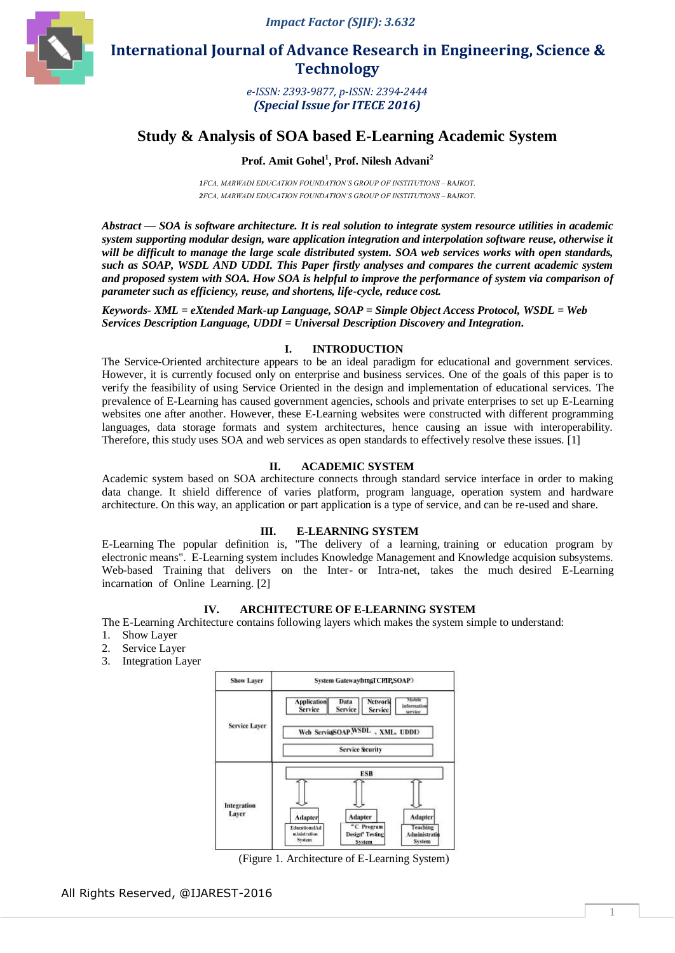

 **International Journal of Advance Research in Engineering, Science & Technology** 

> *e-ISSN: 2393-9877, p-ISSN: 2394-2444 (Special Issue for ITECE 2016)*

# **Study & Analysis of SOA based E-Learning Academic System**

## **Prof. Amit Gohel<sup>1</sup> , Prof. Nilesh Advani<sup>2</sup>**

*1FCA, MARWADI EDUCATION FOUNDATION'S GROUP OF INSTITUTIONS – RAJKOT. 2FCA, MARWADI EDUCATION FOUNDATION'S GROUP OF INSTITUTIONS – RAJKOT.*

*Abstract* — *SOA is software architecture. It is real solution to integrate system resource utilities in academic system supporting modular design, ware application integration and interpolation software reuse, otherwise it will be difficult to manage the large scale distributed system. SOA web services works with open standards, such as SOAP, WSDL AND UDDI. This Paper firstly analyses and compares the current academic system and proposed system with SOA. How SOA is helpful to improve the performance of system via comparison of parameter such as efficiency, reuse, and shortens, life-cycle, reduce cost.*

*Keywords- XML = eXtended Mark-up Language, SOAP = Simple Object Access Protocol, WSDL = Web Services Description Language, UDDI = Universal Description Discovery and Integration.*

#### **I. INTRODUCTION**

The Service-Oriented architecture appears to be an ideal paradigm for educational and government services. However, it is currently focused only on enterprise and business services. One of the goals of this paper is to verify the feasibility of using Service Oriented in the design and implementation of educational services. The prevalence of E-Learning has caused government agencies, schools and private enterprises to set up E-Learning websites one after another. However, these E-Learning websites were constructed with different programming languages, data storage formats and system architectures, hence causing an issue with interoperability. Therefore, this study uses SOA and web services as open standards to effectively resolve these issues. [1]

#### **II. ACADEMIC SYSTEM**

Academic system based on SOA architecture connects through standard service interface in order to making data change. It shield difference of varies platform, program language, operation system and hardware architecture. On this way, an application or part application is a type of service, and can be re-used and share.

#### **III. E-LEARNING SYSTEM**

E-Learning The popular definition is, "The delivery of a learning, training or education program by electronic means". E-Learning system includes Knowledge Management and Knowledge acquision subsystems. Web-based Training that delivers on the Inter- or Intra-net, takes the much desired E-Learning incarnation of Online Learning. [2]

#### **IV. ARCHITECTURE OF E-LEARNING SYSTEM**

The E-Learning Architecture contains following layers which makes the system simple to understand:

- 1. Show Layer
- 2. Service Layer
- 3. Integration Layer



(Figure 1. Architecture of E-Learning System)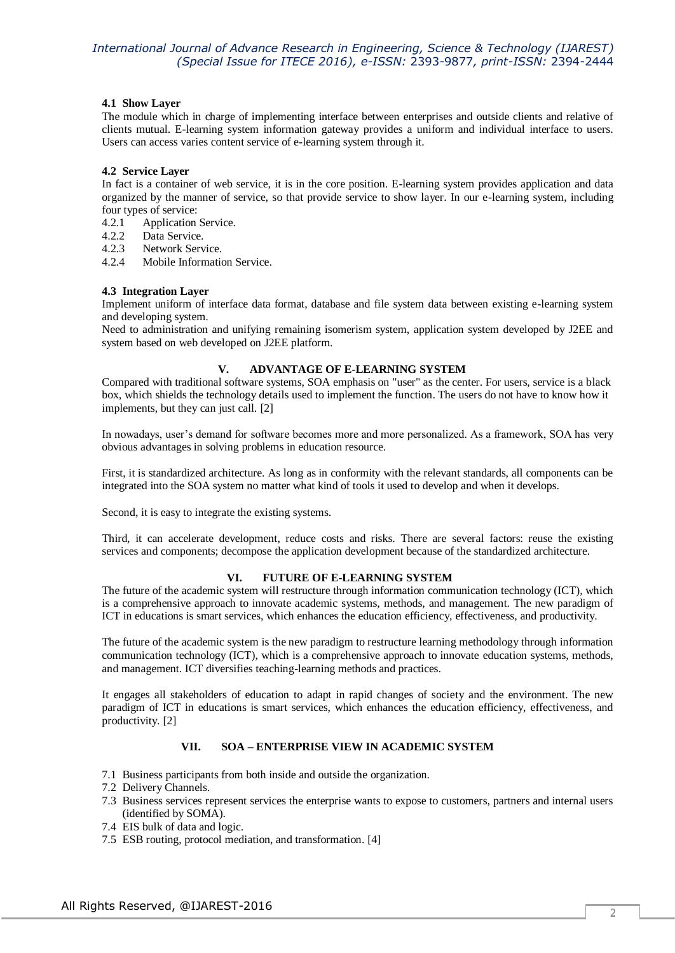### **4.1 Show Layer**

The module which in charge of implementing interface between enterprises and outside clients and relative of clients mutual. E-learning system information gateway provides a uniform and individual interface to users. Users can access varies content service of e-learning system through it.

#### **4.2 Service Layer**

In fact is a container of web service, it is in the core position. E-learning system provides application and data organized by the manner of service, so that provide service to show layer. In our e-learning system, including four types of service:

- 4.2.1 Application Service.<br>4.2.2 Data Service.
- Data Service.
- 4.2.3 Network Service.
- 4.2.4 Mobile Information Service.

#### **4.3 Integration Layer**

Implement uniform of interface data format, database and file system data between existing e-learning system and developing system.

Need to administration and unifying remaining isomerism system, application system developed by J2EE and system based on web developed on J2EE platform.

### **V. ADVANTAGE OF E-LEARNING SYSTEM**

Compared with traditional software systems, SOA emphasis on "user" as the center. For users, service is a black box, which shields the technology details used to implement the function. The users do not have to know how it implements, but they can just call. [2]

In nowadays, user's demand for software becomes more and more personalized. As a framework, SOA has very obvious advantages in solving problems in education resource.

First, it is standardized architecture. As long as in conformity with the relevant standards, all components can be integrated into the SOA system no matter what kind of tools it used to develop and when it develops.

Second, it is easy to integrate the existing systems.

Third, it can accelerate development, reduce costs and risks. There are several factors: reuse the existing services and components; decompose the application development because of the standardized architecture.

### **VI. FUTURE OF E-LEARNING SYSTEM**

The future of the academic system will restructure through information communication technology (ICT), which is a comprehensive approach to innovate academic systems, methods, and management. The new paradigm of ICT in educations is smart services, which enhances the education efficiency, effectiveness, and productivity.

The future of the academic system is the new paradigm to restructure learning methodology through information communication technology (ICT), which is a comprehensive approach to innovate education systems, methods, and management. ICT diversifies teaching-learning methods and practices.

It engages all stakeholders of education to adapt in rapid changes of society and the environment. The new paradigm of ICT in educations is smart services, which enhances the education efficiency, effectiveness, and productivity. [2]

### **VII. SOA – ENTERPRISE VIEW IN ACADEMIC SYSTEM**

- 7.1 Business participants from both inside and outside the organization.
- 7.2 Delivery Channels.
- 7.3 Business services represent services the enterprise wants to expose to customers, partners and internal users (identified by SOMA).
- 7.4 EIS bulk of data and logic.
- 7.5 ESB routing, protocol mediation, and transformation. [4]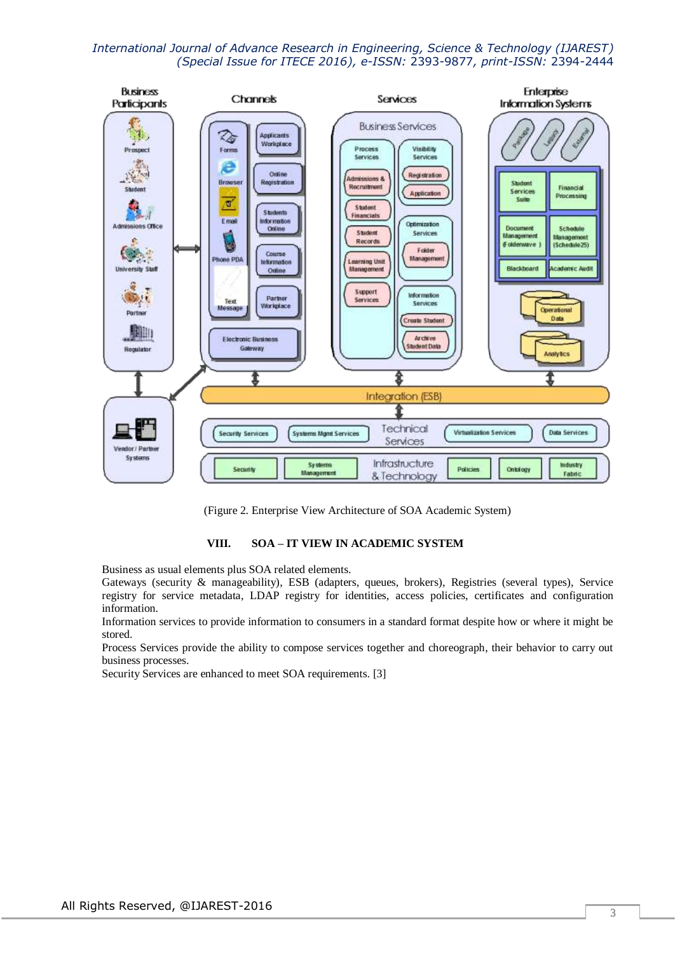

(Figure 2. Enterprise View Architecture of SOA Academic System)

### **VIII. SOA – IT VIEW IN ACADEMIC SYSTEM**

Business as usual elements plus SOA related elements.

Gateways (security & manageability), ESB (adapters, queues, brokers), Registries (several types), Service registry for service metadata, LDAP registry for identities, access policies, certificates and configuration information.

Information services to provide information to consumers in a standard format despite how or where it might be stored.

Process Services provide the ability to compose services together and choreograph, their behavior to carry out business processes.

Security Services are enhanced to meet SOA requirements. [3]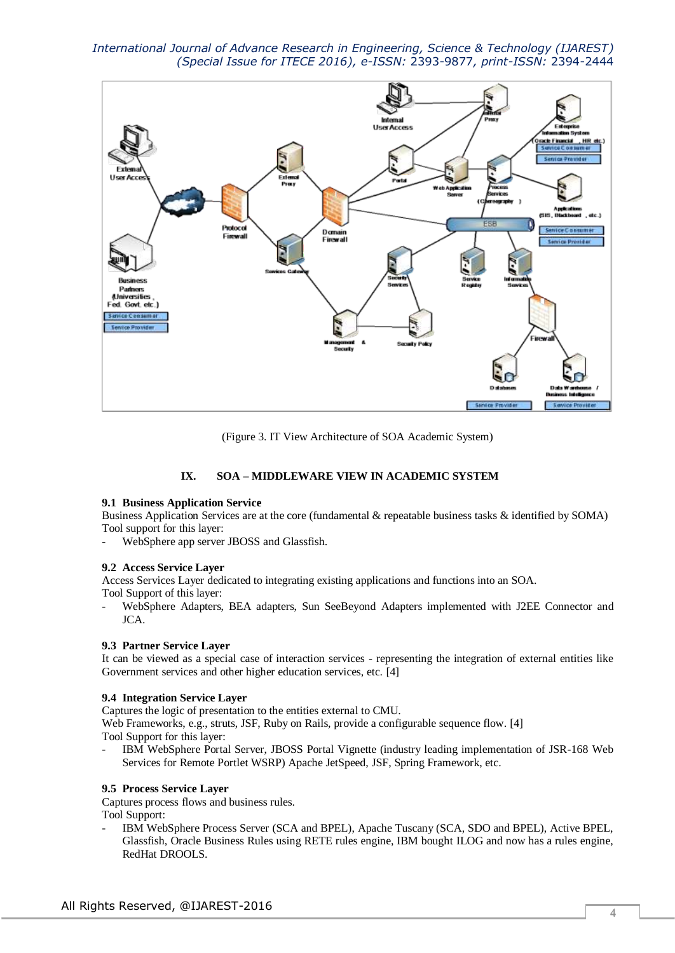

(Figure 3. IT View Architecture of SOA Academic System)

### **IX. SOA – MIDDLEWARE VIEW IN ACADEMIC SYSTEM**

#### **9.1 Business Application Service**

Business Application Services are at the core (fundamental & repeatable business tasks & identified by SOMA) Tool support for this layer:

WebSphere app server JBOSS and Glassfish.

#### **9.2 Access Service Layer**

Access Services Layer dedicated to integrating existing applications and functions into an SOA. Tool Support of this layer:

- WebSphere Adapters, BEA adapters, Sun SeeBeyond Adapters implemented with J2EE Connector and JCA.

### **9.3 Partner Service Layer**

It can be viewed as a special case of interaction services - representing the integration of external entities like Government services and other higher education services, etc. [4]

### **9.4 Integration Service Layer**

Captures the logic of presentation to the entities external to CMU. Web Frameworks, e.g., struts, JSF, Ruby on Rails, provide a configurable sequence flow. [4]

Tool Support for this layer:

- IBM WebSphere Portal Server, JBOSS Portal Vignette (industry leading implementation of JSR-168 Web Services for Remote Portlet WSRP) Apache JetSpeed, JSF, Spring Framework, etc.

### **9.5 Process Service Layer**

Captures process flows and business rules.

Tool Support:

IBM WebSphere Process Server (SCA and BPEL), Apache Tuscany (SCA, SDO and BPEL), Active BPEL, Glassfish, Oracle Business Rules using RETE rules engine, IBM bought ILOG and now has a rules engine, RedHat DROOLS.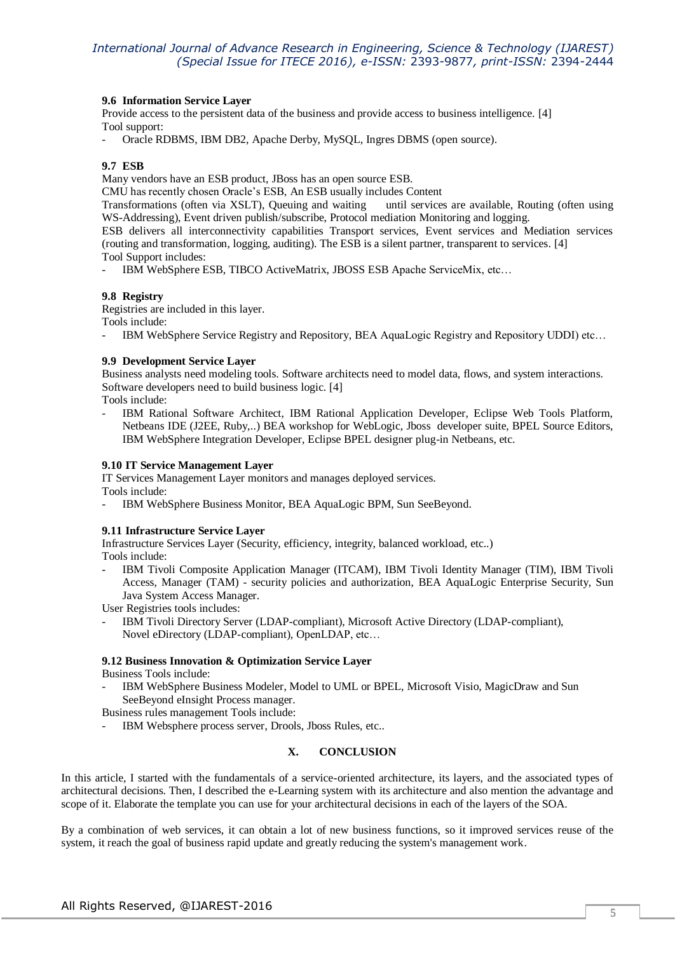#### **9.6 Information Service Layer**

Provide access to the persistent data of the business and provide access to business intelligence. [4] Tool support:

- Oracle RDBMS, IBM DB2, Apache Derby, MySQL, Ingres DBMS (open source).

### **9.7 ESB**

Many vendors have an ESB product, JBoss has an open source ESB.

CMU has recently chosen Oracle's ESB, An ESB usually includes Content

Transformations (often via XSLT), Queuing and waiting until services are available, Routing (often using WS-Addressing), Event driven publish/subscribe, Protocol mediation Monitoring and logging.

ESB delivers all interconnectivity capabilities Transport services, Event services and Mediation services (routing and transformation, logging, auditing). The ESB is a silent partner, transparent to services. [4] Tool Support includes:

- IBM WebSphere ESB, TIBCO ActiveMatrix, JBOSS ESB Apache ServiceMix, etc…

#### **9.8 Registry**

Registries are included in this layer.

Tools include:

IBM WebSphere Service Registry and Repository, BEA AquaLogic Registry and Repository UDDI) etc...

#### **9.9 Development Service Layer**

Business analysts need modeling tools. Software architects need to model data, flows, and system interactions. Software developers need to build business logic. [4]

Tools include:

IBM Rational Software Architect, IBM Rational Application Developer, Eclipse Web Tools Platform, Netbeans IDE (J2EE, Ruby,..) BEA workshop for WebLogic, Jboss developer suite, BPEL Source Editors, IBM WebSphere Integration Developer, Eclipse BPEL designer plug-in Netbeans, etc.

#### **9.10 IT Service Management Layer**

IT Services Management Layer monitors and manages deployed services. Tools include:

IBM WebSphere Business Monitor, BEA AquaLogic BPM, Sun SeeBeyond.

#### **9.11 Infrastructure Service Layer**

Infrastructure Services Layer (Security, efficiency, integrity, balanced workload, etc..) Tools include:

- IBM Tivoli Composite Application Manager (ITCAM), IBM Tivoli Identity Manager (TIM), IBM Tivoli Access, Manager (TAM) - security policies and authorization, BEA AquaLogic Enterprise Security, Sun Java System Access Manager.

User Registries tools includes:

IBM Tivoli Directory Server (LDAP-compliant), Microsoft Active Directory (LDAP-compliant), Novel eDirectory (LDAP-compliant), OpenLDAP, etc…

### **9.12 Business Innovation & Optimization Service Layer**

Business Tools include:

IBM WebSphere Business Modeler, Model to UML or BPEL, Microsoft Visio, MagicDraw and Sun SeeBeyond eInsight Process manager.

Business rules management Tools include:

IBM Websphere process server, Drools, Jboss Rules, etc...

### **X. CONCLUSION**

In this article, I started with the fundamentals of a service-oriented architecture, its layers, and the associated types of architectural decisions. Then, I described the e-Learning system with its architecture and also mention the advantage and scope of it. Elaborate the template you can use for your architectural decisions in each of the layers of the SOA.

By a combination of web services, it can obtain a lot of new business functions, so it improved services reuse of the system, it reach the goal of business rapid update and greatly reducing the system's management work.